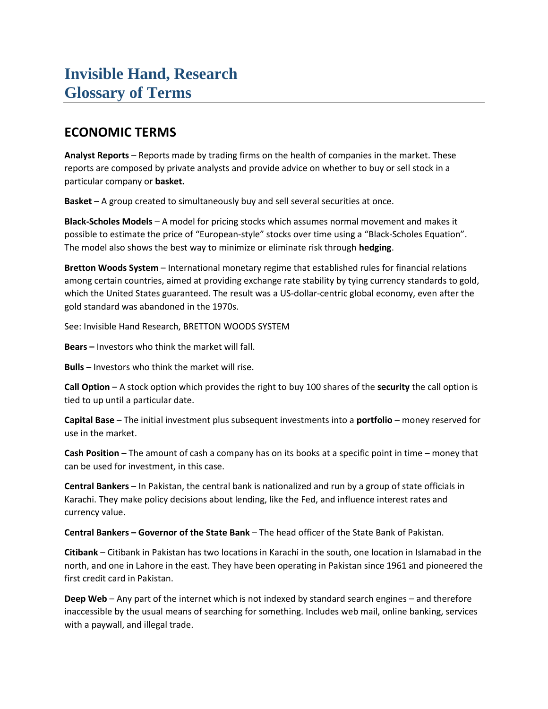# **Invisible Hand, Research Glossary of Terms**

### **ECONOMIC TERMS**

**Analyst Reports** – Reports made by trading firms on the health of companies in the market. These reports are composed by private analysts and provide advice on whether to buy or sell stock in a particular company or **basket.**

**Basket** – A group created to simultaneously buy and sell several securities at once.

**Black-Scholes Models** – A model for pricing stocks which assumes normal movement and makes it possible to estimate the price of "European-style" stocks over time using a "Black-Scholes Equation". The model also shows the best way to minimize or eliminate risk through **hedging**.

**Bretton Woods System** – International monetary regime that established rules for financial relations among certain countries, aimed at providing exchange rate stability by tying currency standards to gold, which the United States guaranteed. The result was a US-dollar-centric global economy, even after the gold standard was abandoned in the 1970s.

See: Invisible Hand Research, BRETTON WOODS SYSTEM

**Bears –** Investors who think the market will fall.

**Bulls** – Investors who think the market will rise.

**Call Option** – A stock option which provides the right to buy 100 shares of the **security** the call option is tied to up until a particular date.

**Capital Base** – The initial investment plus subsequent investments into a **portfolio** – money reserved for use in the market.

**Cash Position** – The amount of cash a company has on its books at a specific point in time – money that can be used for investment, in this case.

**Central Bankers** – In Pakistan, the central bank is nationalized and run by a group of state officials in Karachi. They make policy decisions about lending, like the Fed, and influence interest rates and currency value.

**Central Bankers – Governor of the State Bank** – The head officer of the State Bank of Pakistan.

**Citibank** – Citibank in Pakistan has two locations in Karachi in the south, one location in Islamabad in the north, and one in Lahore in the east. They have been operating in Pakistan since 1961 and pioneered the first credit card in Pakistan.

**Deep Web** – Any part of the internet which is not indexed by standard search engines – and therefore inaccessible by the usual means of searching for something. Includes web mail, online banking, services with a paywall, and illegal trade.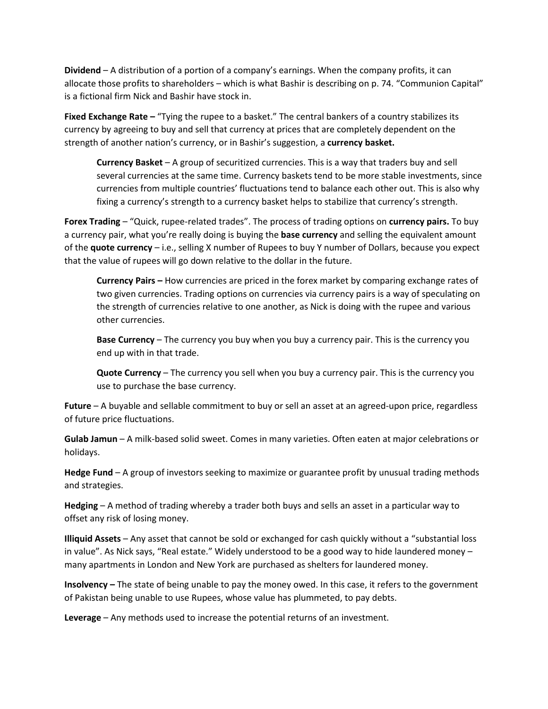**Dividend** – A distribution of a portion of a company's earnings. When the company profits, it can allocate those profits to shareholders – which is what Bashir is describing on p. 74. "Communion Capital" is a fictional firm Nick and Bashir have stock in.

**Fixed Exchange Rate –** "Tying the rupee to a basket." The central bankers of a country stabilizes its currency by agreeing to buy and sell that currency at prices that are completely dependent on the strength of another nation's currency, or in Bashir's suggestion, a **currency basket.**

**Currency Basket** – A group of securitized currencies. This is a way that traders buy and sell several currencies at the same time. Currency baskets tend to be more stable investments, since currencies from multiple countries' fluctuations tend to balance each other out. This is also why fixing a currency's strength to a currency basket helps to stabilize that currency's strength.

**Forex Trading** – "Quick, rupee-related trades". The process of trading options on **currency pairs.** To buy a currency pair, what you're really doing is buying the **base currency** and selling the equivalent amount of the **quote currency** – i.e., selling X number of Rupees to buy Y number of Dollars, because you expect that the value of rupees will go down relative to the dollar in the future.

**Currency Pairs –** How currencies are priced in the forex market by comparing exchange rates of two given currencies. Trading options on currencies via currency pairs is a way of speculating on the strength of currencies relative to one another, as Nick is doing with the rupee and various other currencies.

**Base Currency** – The currency you buy when you buy a currency pair. This is the currency you end up with in that trade.

**Quote Currency** – The currency you sell when you buy a currency pair. This is the currency you use to purchase the base currency.

**Future** – A buyable and sellable commitment to buy or sell an asset at an agreed-upon price, regardless of future price fluctuations.

**Gulab Jamun** – A milk-based solid sweet. Comes in many varieties. Often eaten at major celebrations or holidays.

**Hedge Fund** – A group of investors seeking to maximize or guarantee profit by unusual trading methods and strategies.

**Hedging** – A method of trading whereby a trader both buys and sells an asset in a particular way to offset any risk of losing money.

**Illiquid Assets** – Any asset that cannot be sold or exchanged for cash quickly without a "substantial loss in value". As Nick says, "Real estate." Widely understood to be a good way to hide laundered money – many apartments in London and New York are purchased as shelters for laundered money.

**Insolvency –** The state of being unable to pay the money owed. In this case, it refers to the government of Pakistan being unable to use Rupees, whose value has plummeted, to pay debts.

**Leverage** – Any methods used to increase the potential returns of an investment.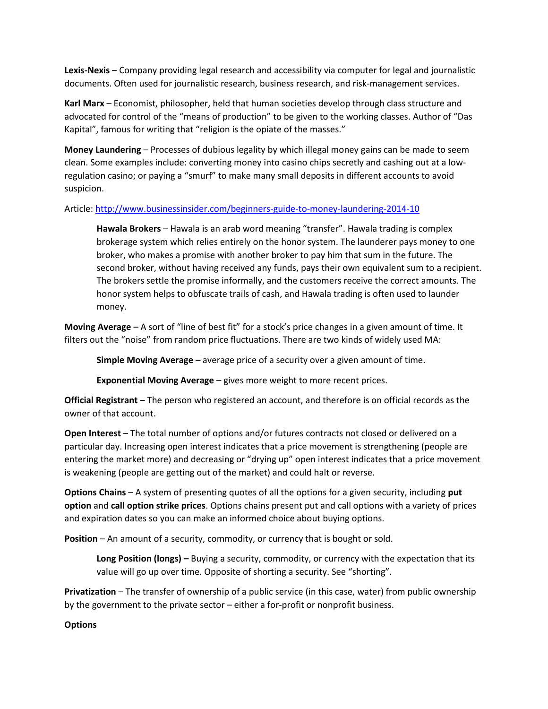**Lexis-Nexis** – Company providing legal research and accessibility via computer for legal and journalistic documents. Often used for journalistic research, business research, and risk-management services.

**Karl Marx** – Economist, philosopher, held that human societies develop through class structure and advocated for control of the "means of production" to be given to the working classes. Author of "Das Kapital", famous for writing that "religion is the opiate of the masses."

**Money Laundering** – Processes of dubious legality by which illegal money gains can be made to seem clean. Some examples include: converting money into casino chips secretly and cashing out at a lowregulation casino; or paying a "smurf" to make many small deposits in different accounts to avoid suspicion.

#### Article[: http://www.businessinsider.com/beginners-guide-to-money-laundering-2014-10](http://www.businessinsider.com/beginners-guide-to-money-laundering-2014-10)

**Hawala Brokers** – Hawala is an arab word meaning "transfer". Hawala trading is complex brokerage system which relies entirely on the honor system. The launderer pays money to one broker, who makes a promise with another broker to pay him that sum in the future. The second broker, without having received any funds, pays their own equivalent sum to a recipient. The brokers settle the promise informally, and the customers receive the correct amounts. The honor system helps to obfuscate trails of cash, and Hawala trading is often used to launder money.

**Moving Average** – A sort of "line of best fit" for a stock's price changes in a given amount of time. It filters out the "noise" from random price fluctuations. There are two kinds of widely used MA:

**Simple Moving Average –** average price of a security over a given amount of time.

**Exponential Moving Average** – gives more weight to more recent prices.

**Official Registrant** – The person who registered an account, and therefore is on official records as the owner of that account.

**Open Interest** – The total number of options and/or futures contracts not closed or delivered on a particular day. Increasing open interest indicates that a price movement is strengthening (people are entering the market more) and decreasing or "drying up" open interest indicates that a price movement is weakening (people are getting out of the market) and could halt or reverse.

**Options Chains** – A system of presenting quotes of all the options for a given security, including **put option** and **call option strike prices**. Options chains present put and call options with a variety of prices and expiration dates so you can make an informed choice about buying options.

**Position** – An amount of a security, commodity, or currency that is bought or sold.

**Long Position (longs) –** Buying a security, commodity, or currency with the expectation that its value will go up over time. Opposite of shorting a security. See "shorting".

**Privatization** – The transfer of ownership of a public service (in this case, water) from public ownership by the government to the private sector – either a for-profit or nonprofit business.

**Options**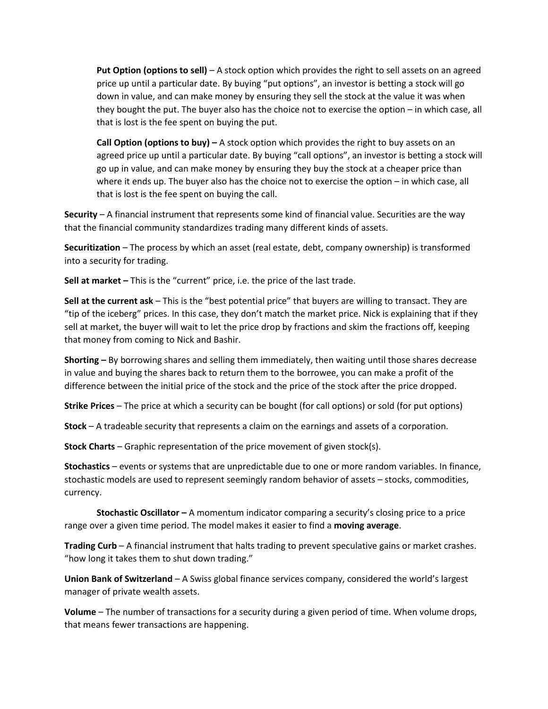**Put Option (options to sell)** – A stock option which provides the right to sell assets on an agreed price up until a particular date. By buying "put options", an investor is betting a stock will go down in value, and can make money by ensuring they sell the stock at the value it was when they bought the put. The buyer also has the choice not to exercise the option – in which case, all that is lost is the fee spent on buying the put.

**Call Option (options to buy) –** A stock option which provides the right to buy assets on an agreed price up until a particular date. By buying "call options", an investor is betting a stock will go up in value, and can make money by ensuring they buy the stock at a cheaper price than where it ends up. The buyer also has the choice not to exercise the option – in which case, all that is lost is the fee spent on buying the call.

**Security** – A financial instrument that represents some kind of financial value. Securities are the way that the financial community standardizes trading many different kinds of assets.

**Securitization** – The process by which an asset (real estate, debt, company ownership) is transformed into a security for trading.

**Sell at market –** This is the "current" price, i.e. the price of the last trade.

**Sell at the current ask** – This is the "best potential price" that buyers are willing to transact. They are "tip of the iceberg" prices. In this case, they don't match the market price. Nick is explaining that if they sell at market, the buyer will wait to let the price drop by fractions and skim the fractions off, keeping that money from coming to Nick and Bashir.

**Shorting –** By borrowing shares and selling them immediately, then waiting until those shares decrease in value and buying the shares back to return them to the borrowee, you can make a profit of the difference between the initial price of the stock and the price of the stock after the price dropped.

**Strike Prices** – The price at which a security can be bought (for call options) or sold (for put options)

**Stock** – A tradeable security that represents a claim on the earnings and assets of a corporation.

**Stock Charts** – Graphic representation of the price movement of given stock(s).

**Stochastics** – events or systems that are unpredictable due to one or more random variables. In finance, stochastic models are used to represent seemingly random behavior of assets – stocks, commodities, currency.

**Stochastic Oscillator –** A momentum indicator comparing a security's closing price to a price range over a given time period. The model makes it easier to find a **moving average**.

**Trading Curb** – A financial instrument that halts trading to prevent speculative gains or market crashes. "how long it takes them to shut down trading."

**Union Bank of Switzerland** – A Swiss global finance services company, considered the world's largest manager of private wealth assets.

**Volume** – The number of transactions for a security during a given period of time. When volume drops, that means fewer transactions are happening.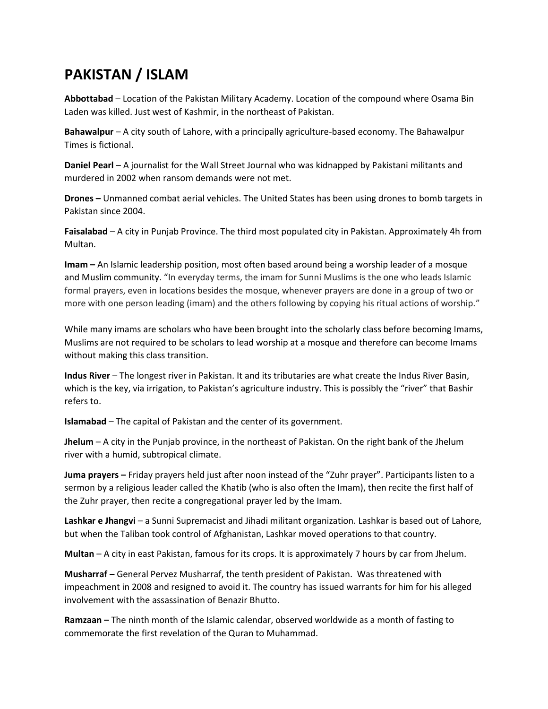## **PAKISTAN / ISLAM**

**Abbottabad** – Location of the Pakistan Military Academy. Location of the compound where Osama Bin Laden was killed. Just west of Kashmir, in the northeast of Pakistan.

**Bahawalpur** – A city south of Lahore, with a principally agriculture-based economy. The Bahawalpur Times is fictional.

**Daniel Pearl** – A journalist for the Wall Street Journal who was kidnapped by Pakistani militants and murdered in 2002 when ransom demands were not met.

**Drones –** Unmanned combat aerial vehicles. The United States has been using drones to bomb targets in Pakistan since 2004.

**Faisalabad** – A city in Punjab Province. The third most populated city in Pakistan. Approximately 4h from Multan.

**Imam –** An Islamic leadership position, most often based around being a worship leader of a mosque and Muslim community. "In everyday terms, the imam for Sunni Muslims is the one who leads Islamic formal prayers, even in locations besides the mosque, whenever prayers are done in a group of two or more with one person leading (imam) and the others following by copying his ritual actions of worship."

While many imams are scholars who have been brought into the scholarly class before becoming Imams, Muslims are not required to be scholars to lead worship at a mosque and therefore can become Imams without making this class transition.

**Indus River** – The longest river in Pakistan. It and its tributaries are what create the Indus River Basin, which is the key, via irrigation, to Pakistan's agriculture industry. This is possibly the "river" that Bashir refers to.

**Islamabad** – The capital of Pakistan and the center of its government.

**Jhelum** – A city in the Punjab province, in the northeast of Pakistan. On the right bank of the Jhelum river with a humid, subtropical climate.

**Juma prayers –** Friday prayers held just after noon instead of the "Zuhr prayer". Participants listen to a sermon by a religious leader called the Khatib (who is also often the Imam), then recite the first half of the Zuhr prayer, then recite a congregational prayer led by the Imam.

Lashkar e Jhangvi – a Sunni Supremacist and Jihadi militant organization. Lashkar is based out of Lahore, but when the Taliban took control of Afghanistan, Lashkar moved operations to that country.

**Multan** – A city in east Pakistan, famous for its crops. It is approximately 7 hours by car from Jhelum.

**Musharraf –** General Pervez Musharraf, the tenth president of Pakistan. Was threatened with impeachment in 2008 and resigned to avoid it. The country has issued warrants for him for his alleged involvement with the assassination of Benazir Bhutto.

**Ramzaan –** The ninth month of the Islamic calendar, observed worldwide as a month of fasting to commemorate the first revelation of the Quran to Muhammad.